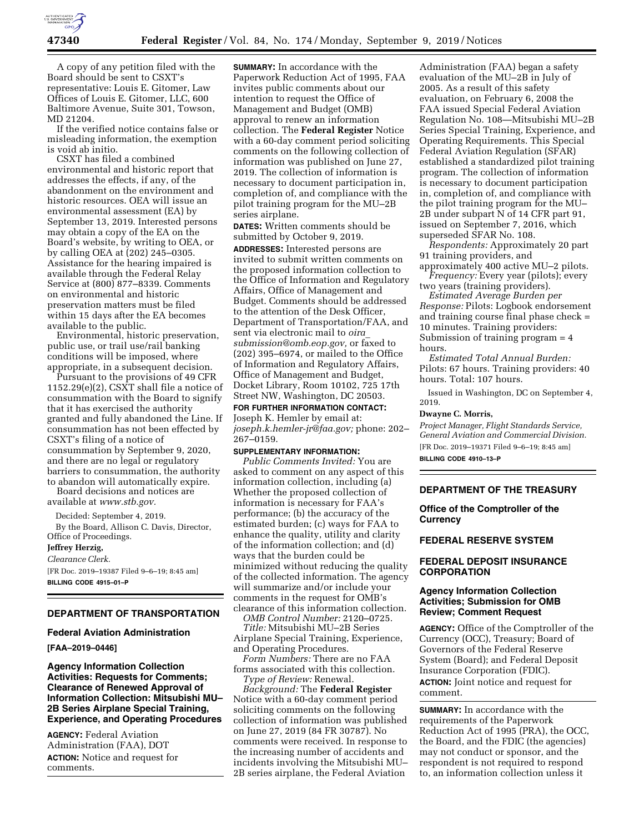

A copy of any petition filed with the Board should be sent to CSXT's representative: Louis E. Gitomer, Law Offices of Louis E. Gitomer, LLC, 600 Baltimore Avenue, Suite 301, Towson, MD 21204.

If the verified notice contains false or misleading information, the exemption is void ab initio.

CSXT has filed a combined environmental and historic report that addresses the effects, if any, of the abandonment on the environment and historic resources. OEA will issue an environmental assessment (EA) by September 13, 2019. Interested persons may obtain a copy of the EA on the Board's website, by writing to OEA, or by calling OEA at (202) 245–0305. Assistance for the hearing impaired is available through the Federal Relay Service at (800) 877–8339. Comments on environmental and historic preservation matters must be filed within 15 days after the EA becomes available to the public.

Environmental, historic preservation, public use, or trail use/rail banking conditions will be imposed, where appropriate, in a subsequent decision.

Pursuant to the provisions of 49 CFR 1152.29(e)(2), CSXT shall file a notice of consummation with the Board to signify that it has exercised the authority granted and fully abandoned the Line. If consummation has not been effected by CSXT's filing of a notice of consummation by September 9, 2020, and there are no legal or regulatory barriers to consummation, the authority to abandon will automatically expire.

Board decisions and notices are available at *[www.stb.gov.](http://www.stb.gov)* 

Decided: September 4, 2019.

By the Board, Allison C. Davis, Director, Office of Proceedings.

#### **Jeffrey Herzig,**

**BILLING CODE 4915–01–P** 

*Clearance Clerk.*  [FR Doc. 2019–19387 Filed 9–6–19; 8:45 am]

**DEPARTMENT OF TRANSPORTATION** 

#### **Federal Aviation Administration**

**[FAA–2019–0446]** 

**Agency Information Collection Activities: Requests for Comments; Clearance of Renewed Approval of Information Collection: Mitsubishi MU– 2B Series Airplane Special Training, Experience, and Operating Procedures** 

**AGENCY:** Federal Aviation Administration (FAA), DOT **ACTION:** Notice and request for comments.

**SUMMARY:** In accordance with the Paperwork Reduction Act of 1995, FAA invites public comments about our intention to request the Office of Management and Budget (OMB) approval to renew an information collection. The **Federal Register** Notice with a 60-day comment period soliciting comments on the following collection of information was published on June 27, 2019. The collection of information is necessary to document participation in, completion of, and compliance with the pilot training program for the MU–2B series airplane.

**DATES:** Written comments should be submitted by October 9, 2019.

**ADDRESSES:** Interested persons are invited to submit written comments on the proposed information collection to the Office of Information and Regulatory Affairs, Office of Management and Budget. Comments should be addressed to the attention of the Desk Officer, Department of Transportation/FAA, and sent via electronic mail to *[oira](mailto:oira_submission@omb.eop.gov)*\_ *[submission@omb.eop.gov,](mailto:oira_submission@omb.eop.gov)* or faxed to (202) 395–6974, or mailed to the Office of Information and Regulatory Affairs, Office of Management and Budget, Docket Library, Room 10102, 725 17th Street NW, Washington, DC 20503.

**FOR FURTHER INFORMATION CONTACT:**  Joseph K. Hemler by email at: *[joseph.k.hemler-jr@faa.gov;](mailto:joseph.k.hemler-jr@faa.gov)* phone: 202– 267–0159.

**SUPPLEMENTARY INFORMATION:**  *Public Comments Invited:* You are asked to comment on any aspect of this information collection, including (a) Whether the proposed collection of information is necessary for FAA's performance; (b) the accuracy of the estimated burden; (c) ways for FAA to enhance the quality, utility and clarity of the information collection; and (d) ways that the burden could be minimized without reducing the quality of the collected information. The agency will summarize and/or include your comments in the request for OMB's clearance of this information collection.

*OMB Control Number:* 2120–0725. *Title:* Mitsubishi MU–2B Series Airplane Special Training, Experience,

and Operating Procedures. *Form Numbers:* There are no FAA forms associated with this collection.

*Type of Review:* Renewal.

*Background:* The **Federal Register**  Notice with a 60-day comment period soliciting comments on the following collection of information was published on June 27, 2019 (84 FR 30787). No comments were received. In response to the increasing number of accidents and incidents involving the Mitsubishi MU– 2B series airplane, the Federal Aviation

Administration (FAA) began a safety evaluation of the MU–2B in July of 2005. As a result of this safety evaluation, on February 6, 2008 the FAA issued Special Federal Aviation Regulation No. 108—Mitsubishi MU–2B Series Special Training, Experience, and Operating Requirements. This Special Federal Aviation Regulation (SFAR) established a standardized pilot training program. The collection of information is necessary to document participation in, completion of, and compliance with the pilot training program for the MU– 2B under subpart N of 14 CFR part 91, issued on September 7, 2016, which superseded SFAR No. 108.

*Respondents:* Approximately 20 part 91 training providers, and

approximately 400 active MU–2 pilots. *Frequency:* Every year (pilots); every

two years (training providers). *Estimated Average Burden per* 

*Response:* Pilots: Logbook endorsement and training course final phase check = 10 minutes. Training providers: Submission of training program = 4 hours.

*Estimated Total Annual Burden:*  Pilots: 67 hours. Training providers: 40 hours. Total: 107 hours.

Issued in Washington, DC on September 4, 2019.

## **Dwayne C. Morris,**

*Project Manager, Flight Standards Service, General Aviation and Commercial Division.*  [FR Doc. 2019–19371 Filed 9–6–19; 8:45 am] **BILLING CODE 4910–13–P** 

# **DEPARTMENT OF THE TREASURY**

**Office of the Comptroller of the Currency** 

## **FEDERAL RESERVE SYSTEM**

# **FEDERAL DEPOSIT INSURANCE CORPORATION**

## **Agency Information Collection Activities; Submission for OMB Review; Comment Request**

**AGENCY:** Office of the Comptroller of the Currency (OCC), Treasury; Board of Governors of the Federal Reserve System (Board); and Federal Deposit Insurance Corporation (FDIC). **ACTION:** Joint notice and request for comment.

**SUMMARY:** In accordance with the requirements of the Paperwork Reduction Act of 1995 (PRA), the OCC, the Board, and the FDIC (the agencies) may not conduct or sponsor, and the respondent is not required to respond to, an information collection unless it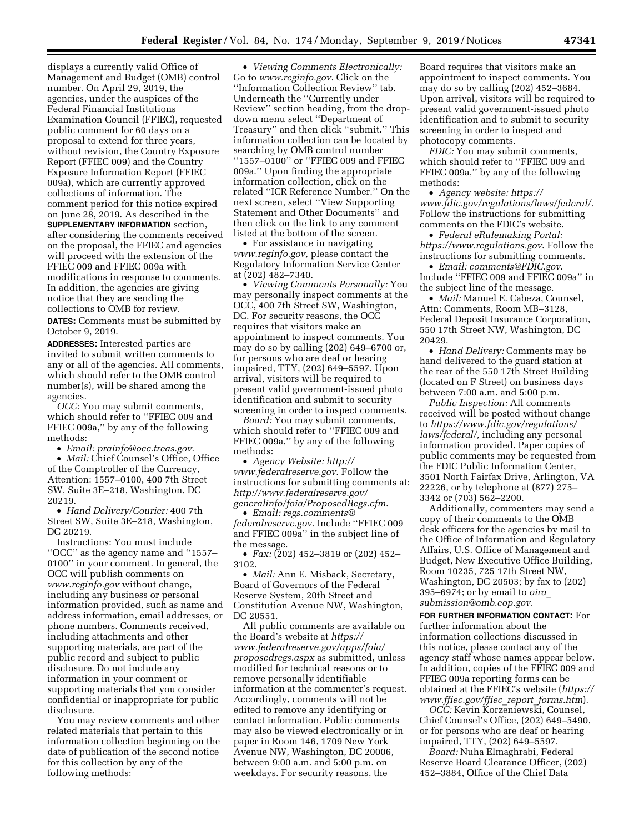displays a currently valid Office of Management and Budget (OMB) control number. On April 29, 2019, the agencies, under the auspices of the Federal Financial Institutions Examination Council (FFIEC), requested public comment for 60 days on a proposal to extend for three years, without revision, the Country Exposure Report (FFIEC 009) and the Country Exposure Information Report (FFIEC 009a), which are currently approved collections of information. The comment period for this notice expired on June 28, 2019. As described in the **SUPPLEMENTARY INFORMATION** section, after considering the comments received on the proposal, the FFIEC and agencies will proceed with the extension of the FFIEC 009 and FFIEC 009a with modifications in response to comments. In addition, the agencies are giving notice that they are sending the collections to OMB for review.

**DATES:** Comments must be submitted by October 9, 2019.

**ADDRESSES:** Interested parties are invited to submit written comments to any or all of the agencies. All comments, which should refer to the OMB control number(s), will be shared among the agencies.

*OCC:* You may submit comments, which should refer to ''FFIEC 009 and FFIEC 009a,'' by any of the following methods:

• *Email: [prainfo@occ.treas.gov](mailto:prainfo@occ.treas.gov)*.

• *Mail:* Chief Counsel's Office, Office of the Comptroller of the Currency, Attention: 1557–0100, 400 7th Street SW, Suite 3E–218, Washington, DC 20219.

• *Hand Delivery/Courier:* 400 7th Street SW, Suite 3E–218, Washington, DC 20219.

Instructions: You must include ''OCC'' as the agency name and ''1557– 0100'' in your comment. In general, the OCC will publish comments on *[www.reginfo.gov](http://www.reginfo.gov)* without change, including any business or personal information provided, such as name and address information, email addresses, or phone numbers. Comments received, including attachments and other supporting materials, are part of the public record and subject to public disclosure. Do not include any information in your comment or supporting materials that you consider confidential or inappropriate for public disclosure.

You may review comments and other related materials that pertain to this information collection beginning on the date of publication of the second notice for this collection by any of the following methods:

• *Viewing Comments Electronically:*  Go to *[www.reginfo.gov](http://www.reginfo.gov)*. Click on the ''Information Collection Review'' tab. Underneath the ''Currently under Review'' section heading, from the dropdown menu select ''Department of Treasury'' and then click ''submit.'' This information collection can be located by searching by OMB control number ''1557–0100'' or ''FFIEC 009 and FFIEC 009a.'' Upon finding the appropriate information collection, click on the related ''ICR Reference Number.'' On the next screen, select ''View Supporting Statement and Other Documents'' and then click on the link to any comment listed at the bottom of the screen.

• For assistance in navigating *[www.reginfo.gov,](http://www.reginfo.gov)* please contact the Regulatory Information Service Center at (202) 482–7340.

• *Viewing Comments Personally:* You may personally inspect comments at the OCC, 400 7th Street SW, Washington, DC. For security reasons, the OCC requires that visitors make an appointment to inspect comments. You may do so by calling (202) 649–6700 or, for persons who are deaf or hearing impaired, TTY, (202) 649–5597. Upon arrival, visitors will be required to present valid government-issued photo identification and submit to security screening in order to inspect comments.

*Board:* You may submit comments, which should refer to ''FFIEC 009 and FFIEC 009a,'' by any of the following methods:

• *Agency Website: [http://](http://www.federalreserve.gov) [www.federalreserve.gov](http://www.federalreserve.gov)*. Follow the instructions for submitting comments at: *[http://www.federalreserve.gov/](http://www.federalreserve.gov/generalinfo/foia/ProposedRegs.cfm)  [generalinfo/foia/ProposedRegs.cfm](http://www.federalreserve.gov/generalinfo/foia/ProposedRegs.cfm)*.

• *Email: [regs.comments@](mailto:regs.comments@federalreserve.gov) [federalreserve.gov](mailto:regs.comments@federalreserve.gov)*. Include ''FFIEC 009 and FFIEC 009a'' in the subject line of the message.

• *Fax:* (202) 452–3819 or (202) 452– 3102.

• *Mail:* Ann E. Misback, Secretary, Board of Governors of the Federal Reserve System, 20th Street and Constitution Avenue NW, Washington, DC 20551

All public comments are available on the Board's website at *[https://](https://www.federalreserve.gov/apps/foia/proposedregs.aspx) [www.federalreserve.gov/apps/foia/](https://www.federalreserve.gov/apps/foia/proposedregs.aspx) [proposedregs.aspx](https://www.federalreserve.gov/apps/foia/proposedregs.aspx)* as submitted, unless modified for technical reasons or to remove personally identifiable information at the commenter's request. Accordingly, comments will not be edited to remove any identifying or contact information. Public comments may also be viewed electronically or in paper in Room 146, 1709 New York Avenue NW, Washington, DC 20006, between 9:00 a.m. and 5:00 p.m. on weekdays. For security reasons, the

Board requires that visitors make an appointment to inspect comments. You may do so by calling (202) 452–3684. Upon arrival, visitors will be required to present valid government-issued photo identification and to submit to security screening in order to inspect and photocopy comments.

*FDIC:* You may submit comments, which should refer to ''FFIEC 009 and FFIEC 009a,'' by any of the following methods:

• *Agency website: [https://](https://www.fdic.gov/regulations/laws/federal/) [www.fdic.gov/regulations/laws/federal/](https://www.fdic.gov/regulations/laws/federal/)*. Follow the instructions for submitting comments on the FDIC's website.

• *Federal eRulemaking Portal: <https://www.regulations.gov>*. Follow the instructions for submitting comments.

• *Email: [comments@FDIC.gov](mailto:comments@FDIC.gov)*. Include ''FFIEC 009 and FFIEC 009a'' in the subject line of the message.

• *Mail:* Manuel E. Cabeza, Counsel, Attn: Comments, Room MB–3128, Federal Deposit Insurance Corporation, 550 17th Street NW, Washington, DC 20429.

• *Hand Delivery:* Comments may be hand delivered to the guard station at the rear of the 550 17th Street Building (located on F Street) on business days between 7:00 a.m. and 5:00 p.m.

*Public Inspection:* All comments received will be posted without change to *[https://www.fdic.gov/regulations/](https://www.fdic.gov/regulations/laws/federal/)  [laws/federal/,](https://www.fdic.gov/regulations/laws/federal/)* including any personal information provided. Paper copies of public comments may be requested from the FDIC Public Information Center, 3501 North Fairfax Drive, Arlington, VA 22226, or by telephone at (877) 275– 3342 or (703) 562–2200.

Additionally, commenters may send a copy of their comments to the OMB desk officers for the agencies by mail to the Office of Information and Regulatory Affairs, U.S. Office of Management and Budget, New Executive Office Building, Room 10235, 725 17th Street NW, Washington, DC 20503; by fax to (202) 395–6974; or by email to *[oira](mailto:oira_submission@omb.eop.gov)*\_ *[submission@omb.eop.gov](mailto:oira_submission@omb.eop.gov)*.

**FOR FURTHER INFORMATION CONTACT:** For further information about the information collections discussed in this notice, please contact any of the agency staff whose names appear below. In addition, copies of the FFIEC 009 and FFIEC 009a reporting forms can be obtained at the FFIEC's website (*[https://](https://www.ffiec.gov/ffiec_report_forms.htm)  [www.ffiec.gov/ffiec](https://www.ffiec.gov/ffiec_report_forms.htm)*\_*report*\_*forms.htm*).

*OCC:* Kevin Korzeniewski, Counsel, Chief Counsel's Office, (202) 649–5490, or for persons who are deaf or hearing impaired, TTY, (202) 649–5597.

*Board:* Nuha Elmaghrabi, Federal Reserve Board Clearance Officer, (202) 452–3884, Office of the Chief Data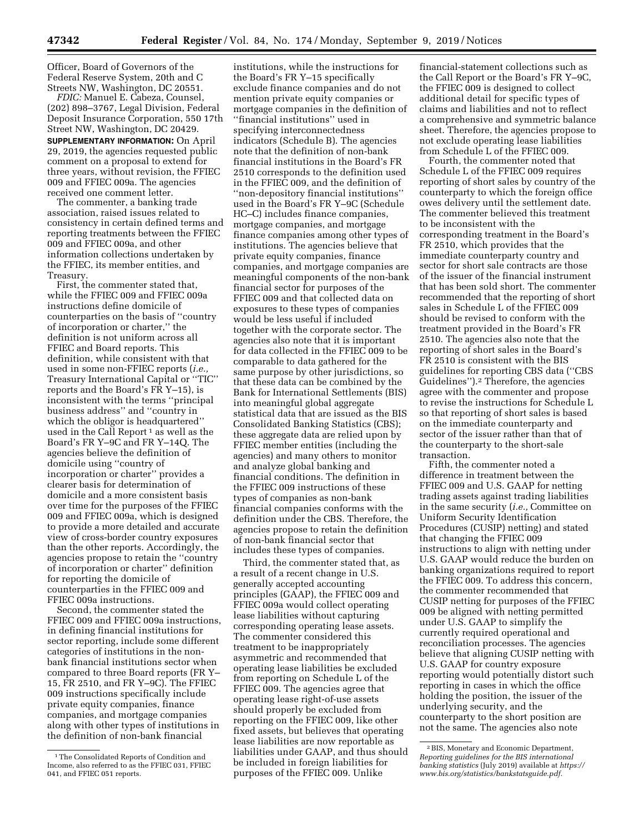Officer, Board of Governors of the Federal Reserve System, 20th and C Streets NW, Washington, DC 20551.

*FDIC:* Manuel E. Cabeza, Counsel, (202) 898–3767, Legal Division, Federal Deposit Insurance Corporation, 550 17th Street NW, Washington, DC 20429.

**SUPPLEMENTARY INFORMATION:** On April 29, 2019, the agencies requested public comment on a proposal to extend for three years, without revision, the FFIEC 009 and FFIEC 009a. The agencies received one comment letter.

The commenter, a banking trade association, raised issues related to consistency in certain defined terms and reporting treatments between the FFIEC 009 and FFIEC 009a, and other information collections undertaken by the FFIEC, its member entities, and Treasury.

First, the commenter stated that, while the FFIEC 009 and FFIEC 009a instructions define domicile of counterparties on the basis of ''country of incorporation or charter,'' the definition is not uniform across all FFIEC and Board reports. This definition, while consistent with that used in some non-FFIEC reports (*i.e.,*  Treasury International Capital or ''TIC'' reports and the Board's FR Y–15), is inconsistent with the terms ''principal business address'' and ''country in which the obligor is headquartered'' used in the Call Report<sup>1</sup> as well as the Board's FR Y–9C and FR Y–14Q. The agencies believe the definition of domicile using ''country of incorporation or charter'' provides a clearer basis for determination of domicile and a more consistent basis over time for the purposes of the FFIEC 009 and FFIEC 009a, which is designed to provide a more detailed and accurate view of cross-border country exposures than the other reports. Accordingly, the agencies propose to retain the ''country of incorporation or charter'' definition for reporting the domicile of counterparties in the FFIEC 009 and FFIEC 009a instructions.

Second, the commenter stated the FFIEC 009 and FFIEC 009a instructions, in defining financial institutions for sector reporting, include some different categories of institutions in the nonbank financial institutions sector when compared to three Board reports (FR Y– 15, FR 2510, and FR Y–9C). The FFIEC 009 instructions specifically include private equity companies, finance companies, and mortgage companies along with other types of institutions in the definition of non-bank financial

institutions, while the instructions for the Board's FR Y–15 specifically exclude finance companies and do not mention private equity companies or mortgage companies in the definition of ''financial institutions'' used in specifying interconnectedness indicators (Schedule B). The agencies note that the definition of non-bank financial institutions in the Board's FR 2510 corresponds to the definition used in the FFIEC 009, and the definition of ''non-depository financial institutions'' used in the Board's FR Y–9C (Schedule HC–C) includes finance companies, mortgage companies, and mortgage finance companies among other types of institutions. The agencies believe that private equity companies, finance companies, and mortgage companies are meaningful components of the non-bank financial sector for purposes of the FFIEC 009 and that collected data on exposures to these types of companies would be less useful if included together with the corporate sector. The agencies also note that it is important for data collected in the FFIEC 009 to be comparable to data gathered for the same purpose by other jurisdictions, so that these data can be combined by the Bank for International Settlements (BIS) into meaningful global aggregate statistical data that are issued as the BIS Consolidated Banking Statistics (CBS); these aggregate data are relied upon by FFIEC member entities (including the agencies) and many others to monitor and analyze global banking and financial conditions. The definition in the FFIEC 009 instructions of these types of companies as non-bank financial companies conforms with the definition under the CBS. Therefore, the agencies propose to retain the definition of non-bank financial sector that includes these types of companies.

Third, the commenter stated that, as a result of a recent change in U.S. generally accepted accounting principles (GAAP), the FFIEC 009 and FFIEC 009a would collect operating lease liabilities without capturing corresponding operating lease assets. The commenter considered this treatment to be inappropriately asymmetric and recommended that operating lease liabilities be excluded from reporting on Schedule L of the FFIEC 009. The agencies agree that operating lease right-of-use assets should properly be excluded from reporting on the FFIEC 009, like other fixed assets, but believes that operating lease liabilities are now reportable as liabilities under GAAP, and thus should be included in foreign liabilities for purposes of the FFIEC 009. Unlike

financial-statement collections such as the Call Report or the Board's FR Y–9C, the FFIEC 009 is designed to collect additional detail for specific types of claims and liabilities and not to reflect a comprehensive and symmetric balance sheet. Therefore, the agencies propose to not exclude operating lease liabilities from Schedule L of the FFIEC 009.

Fourth, the commenter noted that Schedule L of the FFIEC 009 requires reporting of short sales by country of the counterparty to which the foreign office owes delivery until the settlement date. The commenter believed this treatment to be inconsistent with the corresponding treatment in the Board's FR 2510, which provides that the immediate counterparty country and sector for short sale contracts are those of the issuer of the financial instrument that has been sold short. The commenter recommended that the reporting of short sales in Schedule L of the FFIEC 009 should be revised to conform with the treatment provided in the Board's FR 2510. The agencies also note that the reporting of short sales in the Board's FR 2510 is consistent with the BIS guidelines for reporting CBS data (''CBS Guidelines'').2 Therefore, the agencies agree with the commenter and propose to revise the instructions for Schedule L so that reporting of short sales is based on the immediate counterparty and sector of the issuer rather than that of the counterparty to the short-sale transaction.

Fifth, the commenter noted a difference in treatment between the FFIEC 009 and U.S. GAAP for netting trading assets against trading liabilities in the same security (*i.e.,* Committee on Uniform Security Identification Procedures (CUSIP) netting) and stated that changing the FFIEC 009 instructions to align with netting under U.S. GAAP would reduce the burden on banking organizations required to report the FFIEC 009. To address this concern, the commenter recommended that CUSIP netting for purposes of the FFIEC 009 be aligned with netting permitted under U.S. GAAP to simplify the currently required operational and reconciliation processes. The agencies believe that aligning CUSIP netting with U.S. GAAP for country exposure reporting would potentially distort such reporting in cases in which the office holding the position, the issuer of the underlying security, and the counterparty to the short position are not the same. The agencies also note

<sup>1</sup>The Consolidated Reports of Condition and Income, also referred to as the FFIEC 031, FFIEC 041, and FFIEC 051 reports.

<sup>2</sup>BIS, Monetary and Economic Department, *Reporting guidelines for the BIS international banking statistics* (July 2019) available at *[https://](https://www.bis.org/statistics/bankstatsguide.pdf) [www.bis.org/statistics/bankstatsguide.pdf.](https://www.bis.org/statistics/bankstatsguide.pdf)*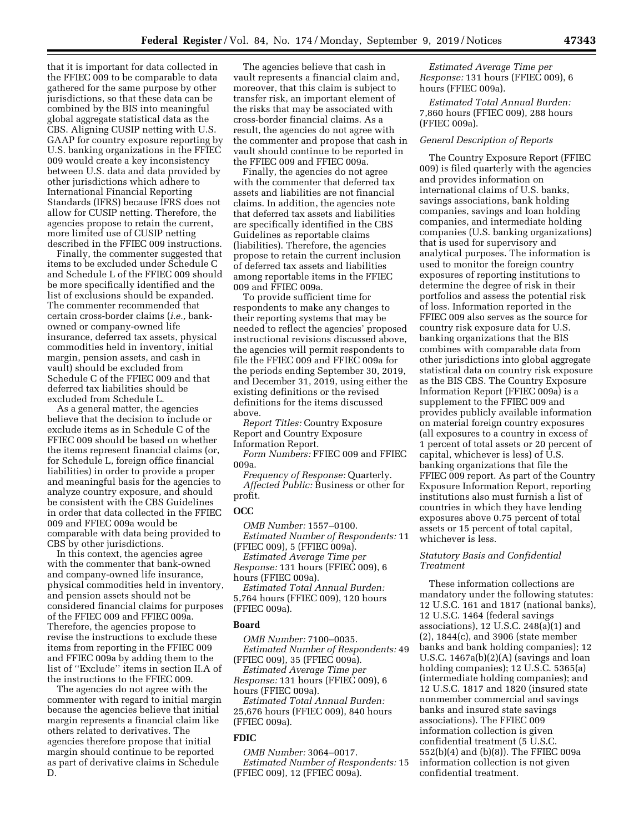that it is important for data collected in the FFIEC 009 to be comparable to data gathered for the same purpose by other jurisdictions, so that these data can be combined by the BIS into meaningful global aggregate statistical data as the CBS. Aligning CUSIP netting with U.S. GAAP for country exposure reporting by U.S. banking organizations in the FFIEC 009 would create a key inconsistency between U.S. data and data provided by other jurisdictions which adhere to International Financial Reporting Standards (IFRS) because IFRS does not allow for CUSIP netting. Therefore, the agencies propose to retain the current, more limited use of CUSIP netting described in the FFIEC 009 instructions.

Finally, the commenter suggested that items to be excluded under Schedule C and Schedule L of the FFIEC 009 should be more specifically identified and the list of exclusions should be expanded. The commenter recommended that certain cross-border claims (*i.e.,* bankowned or company-owned life insurance, deferred tax assets, physical commodities held in inventory, initial margin, pension assets, and cash in vault) should be excluded from Schedule C of the FFIEC 009 and that deferred tax liabilities should be excluded from Schedule L.

As a general matter, the agencies believe that the decision to include or exclude items as in Schedule C of the FFIEC 009 should be based on whether the items represent financial claims (or, for Schedule L, foreign office financial liabilities) in order to provide a proper and meaningful basis for the agencies to analyze country exposure, and should be consistent with the CBS Guidelines in order that data collected in the FFIEC 009 and FFIEC 009a would be comparable with data being provided to CBS by other jurisdictions.

In this context, the agencies agree with the commenter that bank-owned and company-owned life insurance, physical commodities held in inventory, and pension assets should not be considered financial claims for purposes of the FFIEC 009 and FFIEC 009a. Therefore, the agencies propose to revise the instructions to exclude these items from reporting in the FFIEC 009 and FFIEC 009a by adding them to the list of ''Exclude'' items in section II.A of the instructions to the FFIEC 009.

The agencies do not agree with the commenter with regard to initial margin because the agencies believe that initial margin represents a financial claim like others related to derivatives. The agencies therefore propose that initial margin should continue to be reported as part of derivative claims in Schedule D.

The agencies believe that cash in vault represents a financial claim and, moreover, that this claim is subject to transfer risk, an important element of the risks that may be associated with cross-border financial claims. As a result, the agencies do not agree with the commenter and propose that cash in vault should continue to be reported in the FFIEC 009 and FFIEC 009a.

Finally, the agencies do not agree with the commenter that deferred tax assets and liabilities are not financial claims. In addition, the agencies note that deferred tax assets and liabilities are specifically identified in the CBS Guidelines as reportable claims (liabilities). Therefore, the agencies propose to retain the current inclusion of deferred tax assets and liabilities among reportable items in the FFIEC 009 and FFIEC 009a.

To provide sufficient time for respondents to make any changes to their reporting systems that may be needed to reflect the agencies' proposed instructional revisions discussed above, the agencies will permit respondents to file the FFIEC 009 and FFIEC 009a for the periods ending September 30, 2019, and December 31, 2019, using either the existing definitions or the revised definitions for the items discussed above.

*Report Titles:* Country Exposure Report and Country Exposure Information Report.

*Form Numbers:* FFIEC 009 and FFIEC 009a.

*Frequency of Response:* Quarterly. *Affected Public:* Business or other for profit.

## **OCC**

*OMB Number:* 1557–0100. *Estimated Number of Respondents:* 11

(FFIEC 009), 5 (FFIEC 009a). *Estimated Average Time per Response:* 131 hours (FFIEC 009), 6 hours (FFIEC 009a).

*Estimated Total Annual Burden:*  5,764 hours (FFIEC 009), 120 hours (FFIEC 009a).

## **Board**

*OMB Number:* 7100–0035. *Estimated Number of Respondents:* 49 (FFIEC 009), 35 (FFIEC 009a).

*Estimated Average Time per Response:* 131 hours (FFIEC 009), 6 hours (FFIEC 009a).

*Estimated Total Annual Burden:*  25,676 hours (FFIEC 009), 840 hours (FFIEC 009a).

# **FDIC**

*OMB Number:* 3064–0017. *Estimated Number of Respondents:* 15 (FFIEC 009), 12 (FFIEC 009a).

*Estimated Average Time per Response:* 131 hours (FFIEC 009), 6 hours (FFIEC 009a).

*Estimated Total Annual Burden:*  7,860 hours (FFIEC 009), 288 hours (FFIEC 009a).

#### *General Description of Reports*

The Country Exposure Report (FFIEC 009) is filed quarterly with the agencies and provides information on international claims of U.S. banks, savings associations, bank holding companies, savings and loan holding companies, and intermediate holding companies (U.S. banking organizations) that is used for supervisory and analytical purposes. The information is used to monitor the foreign country exposures of reporting institutions to determine the degree of risk in their portfolios and assess the potential risk of loss. Information reported in the FFIEC 009 also serves as the source for country risk exposure data for U.S. banking organizations that the BIS combines with comparable data from other jurisdictions into global aggregate statistical data on country risk exposure as the BIS CBS. The Country Exposure Information Report (FFIEC 009a) is a supplement to the FFIEC 009 and provides publicly available information on material foreign country exposures (all exposures to a country in excess of 1 percent of total assets or 20 percent of capital, whichever is less) of U.S. banking organizations that file the FFIEC 009 report. As part of the Country Exposure Information Report, reporting institutions also must furnish a list of countries in which they have lending exposures above 0.75 percent of total assets or 15 percent of total capital, whichever is less.

## *Statutory Basis and Confidential Treatment*

These information collections are mandatory under the following statutes: 12 U.S.C. 161 and 1817 (national banks), 12 U.S.C. 1464 (federal savings associations), 12 U.S.C. 248(a)(1) and (2), 1844(c), and 3906 (state member banks and bank holding companies); 12 U.S.C. 1467a(b)(2)(A) (savings and loan holding companies); 12 U.S.C. 5365(a) (intermediate holding companies); and 12 U.S.C. 1817 and 1820 (insured state nonmember commercial and savings banks and insured state savings associations). The FFIEC 009 information collection is given confidential treatment (5 U.S.C. 552(b)(4) and (b)(8)). The FFIEC 009a information collection is not given confidential treatment.